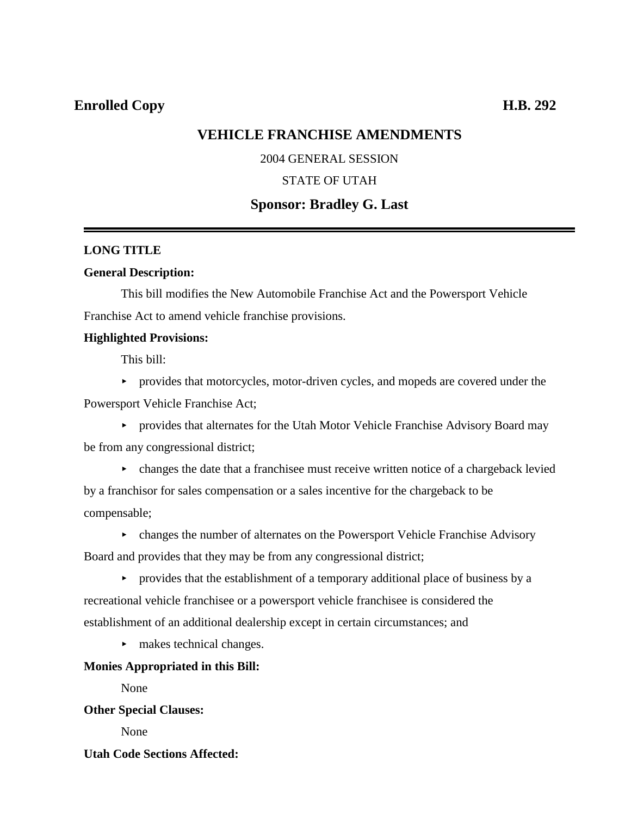## **VEHICLE FRANCHISE AMENDMENTS**

### 2004 GENERAL SESSION

### STATE OF UTAH

## **Sponsor: Bradley G. Last**

### **LONG TITLE**

### **General Description:**

This bill modifies the New Automobile Franchise Act and the Powersport Vehicle Franchise Act to amend vehicle franchise provisions.

### **Highlighted Provisions:**

This bill:

< provides that motorcycles, motor-driven cycles, and mopeds are covered under the Powersport Vehicle Franchise Act;

< provides that alternates for the Utah Motor Vehicle Franchise Advisory Board may be from any congressional district;

- $\triangleright$  changes the date that a franchisee must receive written notice of a chargeback levied by a franchisor for sales compensation or a sales incentive for the chargeback to be compensable;
- $\triangleright$  changes the number of alternates on the Powersport Vehicle Franchise Advisory Board and provides that they may be from any congressional district;
- $\triangleright$  provides that the establishment of a temporary additional place of business by a recreational vehicle franchisee or a powersport vehicle franchisee is considered the establishment of an additional dealership except in certain circumstances; and
	- $\blacktriangleright$  makes technical changes.

### **Monies Appropriated in this Bill:**

None

## **Other Special Clauses:**

None

### **Utah Code Sections Affected:**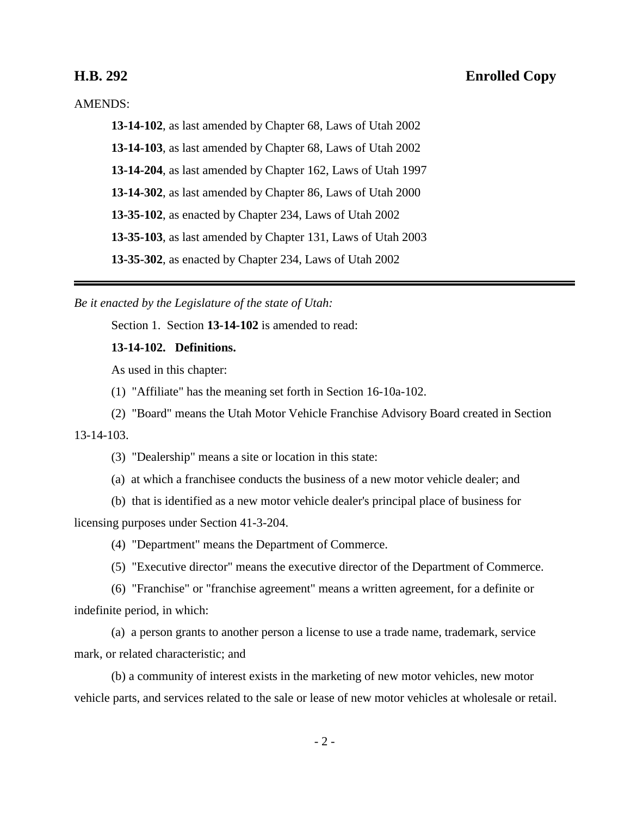## **H.B. 292 Enrolled Copy**

AMENDS:

**13-14-102**, as last amended by Chapter 68, Laws of Utah 2002

**13-14-103**, as last amended by Chapter 68, Laws of Utah 2002

**13-14-204**, as last amended by Chapter 162, Laws of Utah 1997

**13-14-302**, as last amended by Chapter 86, Laws of Utah 2000

**13-35-102**, as enacted by Chapter 234, Laws of Utah 2002

**13-35-103**, as last amended by Chapter 131, Laws of Utah 2003

**13-35-302**, as enacted by Chapter 234, Laws of Utah 2002

*Be it enacted by the Legislature of the state of Utah:*

Section 1. Section **13-14-102** is amended to read:

### **13-14-102. Definitions.**

As used in this chapter:

(1) "Affiliate" has the meaning set forth in Section 16-10a-102.

(2) "Board" means the Utah Motor Vehicle Franchise Advisory Board created in Section

13-14-103.

(3) "Dealership" means a site or location in this state:

(a) at which a franchisee conducts the business of a new motor vehicle dealer; and

(b) that is identified as a new motor vehicle dealer's principal place of business for licensing purposes under Section 41-3-204.

(4) "Department" means the Department of Commerce.

(5) "Executive director" means the executive director of the Department of Commerce.

(6) "Franchise" or "franchise agreement" means a written agreement, for a definite or indefinite period, in which:

(a) a person grants to another person a license to use a trade name, trademark, service mark, or related characteristic; and

(b) a community of interest exists in the marketing of new motor vehicles, new motor vehicle parts, and services related to the sale or lease of new motor vehicles at wholesale or retail.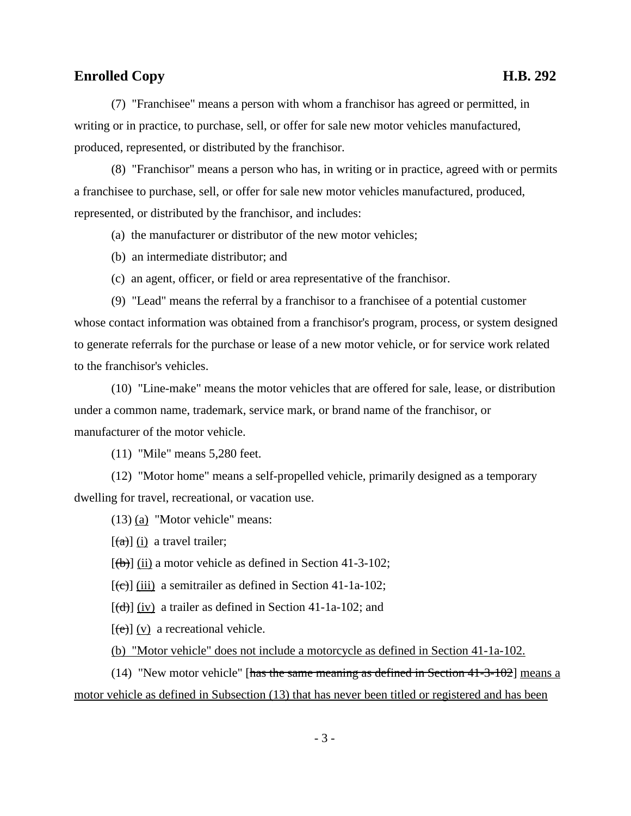(7) "Franchisee" means a person with whom a franchisor has agreed or permitted, in writing or in practice, to purchase, sell, or offer for sale new motor vehicles manufactured, produced, represented, or distributed by the franchisor.

(8) "Franchisor" means a person who has, in writing or in practice, agreed with or permits a franchisee to purchase, sell, or offer for sale new motor vehicles manufactured, produced, represented, or distributed by the franchisor, and includes:

(a) the manufacturer or distributor of the new motor vehicles;

(b) an intermediate distributor; and

(c) an agent, officer, or field or area representative of the franchisor.

(9) "Lead" means the referral by a franchisor to a franchisee of a potential customer whose contact information was obtained from a franchisor's program, process, or system designed to generate referrals for the purchase or lease of a new motor vehicle, or for service work related to the franchisor's vehicles.

(10) "Line-make" means the motor vehicles that are offered for sale, lease, or distribution under a common name, trademark, service mark, or brand name of the franchisor, or manufacturer of the motor vehicle.

(11) "Mile" means 5,280 feet.

(12) "Motor home" means a self-propelled vehicle, primarily designed as a temporary dwelling for travel, recreational, or vacation use.

(13) (a) "Motor vehicle" means:

 $[(a)]$  (i) a travel trailer;

 $[(**b**)]$  (ii) a motor vehicle as defined in Section 41-3-102;

 $[\text{e}(\text{e})]$  (iii) a semitrailer as defined in Section 41-1a-102;

 $[(d)]$  (iv) a trailer as defined in Section 41-1a-102; and

[(e)] (v) a recreational vehicle.

(b) "Motor vehicle" does not include a motorcycle as defined in Section 41-1a-102.

(14) "New motor vehicle" [has the same meaning as defined in Section 41-3-102] means a motor vehicle as defined in Subsection (13) that has never been titled or registered and has been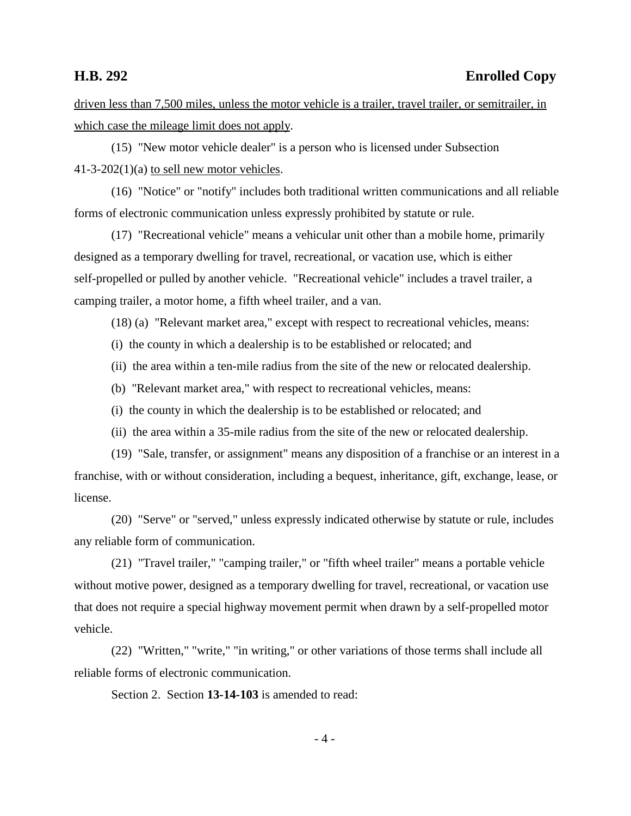driven less than 7,500 miles, unless the motor vehicle is a trailer, travel trailer, or semitrailer, in which case the mileage limit does not apply.

(15) "New motor vehicle dealer" is a person who is licensed under Subsection  $41-3-202(1)(a)$  to sell new motor vehicles.

(16) "Notice" or "notify" includes both traditional written communications and all reliable forms of electronic communication unless expressly prohibited by statute or rule.

(17) "Recreational vehicle" means a vehicular unit other than a mobile home, primarily designed as a temporary dwelling for travel, recreational, or vacation use, which is either self-propelled or pulled by another vehicle. "Recreational vehicle" includes a travel trailer, a camping trailer, a motor home, a fifth wheel trailer, and a van.

(18) (a) "Relevant market area," except with respect to recreational vehicles, means:

(i) the county in which a dealership is to be established or relocated; and

(ii) the area within a ten-mile radius from the site of the new or relocated dealership.

(b) "Relevant market area," with respect to recreational vehicles, means:

- (i) the county in which the dealership is to be established or relocated; and
- (ii) the area within a 35-mile radius from the site of the new or relocated dealership.

(19) "Sale, transfer, or assignment" means any disposition of a franchise or an interest in a franchise, with or without consideration, including a bequest, inheritance, gift, exchange, lease, or license.

(20) "Serve" or "served," unless expressly indicated otherwise by statute or rule, includes any reliable form of communication.

(21) "Travel trailer," "camping trailer," or "fifth wheel trailer" means a portable vehicle without motive power, designed as a temporary dwelling for travel, recreational, or vacation use that does not require a special highway movement permit when drawn by a self-propelled motor vehicle.

(22) "Written," "write," "in writing," or other variations of those terms shall include all reliable forms of electronic communication.

Section 2. Section **13-14-103** is amended to read: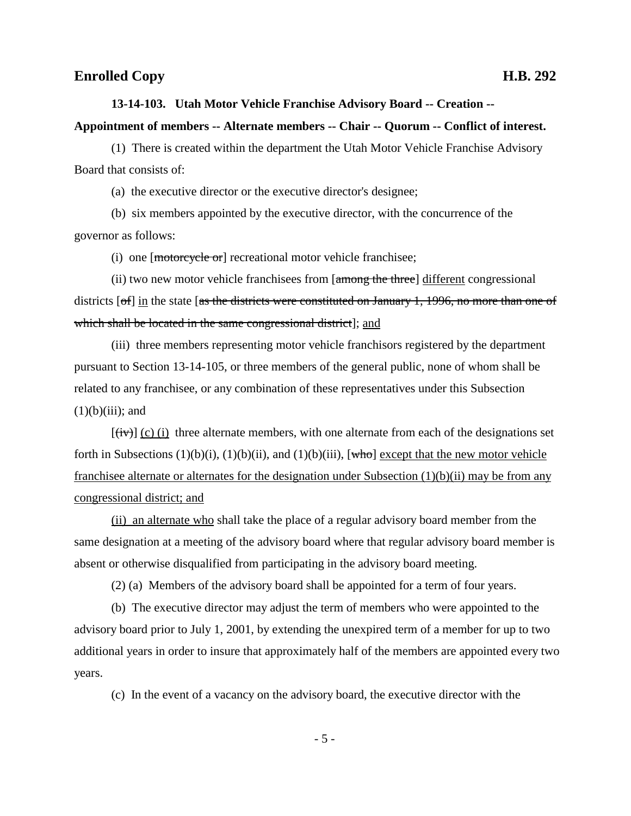# **13-14-103. Utah Motor Vehicle Franchise Advisory Board -- Creation -- Appointment of members -- Alternate members -- Chair -- Quorum -- Conflict of interest.**

(1) There is created within the department the Utah Motor Vehicle Franchise Advisory Board that consists of:

(a) the executive director or the executive director's designee;

(b) six members appointed by the executive director, with the concurrence of the governor as follows:

(i) one [motorcycle or] recreational motor vehicle franchisee;

(ii) two new motor vehicle franchisees from  $\lceil \frac{\text{among the three}}{\text{there}} \rceil$  different congressional districts [of] in the state [as the districts were constituted on January 1, 1996, no more than one of which shall be located in the same congressional district]; and

(iii) three members representing motor vehicle franchisors registered by the department pursuant to Section 13-14-105, or three members of the general public, none of whom shall be related to any franchisee, or any combination of these representatives under this Subsection  $(1)(b)(iii)$ ; and

 $[\overline{(iv)}]$  (c) (i) three alternate members, with one alternate from each of the designations set forth in Subsections  $(1)(b)(i)$ ,  $(1)(b)(ii)$ , and  $(1)(b)(iii)$ , [who] except that the new motor vehicle franchisee alternate or alternates for the designation under Subsection (1)(b)(ii) may be from any congressional district; and

(ii) an alternate who shall take the place of a regular advisory board member from the same designation at a meeting of the advisory board where that regular advisory board member is absent or otherwise disqualified from participating in the advisory board meeting.

(2) (a) Members of the advisory board shall be appointed for a term of four years.

(b) The executive director may adjust the term of members who were appointed to the advisory board prior to July 1, 2001, by extending the unexpired term of a member for up to two additional years in order to insure that approximately half of the members are appointed every two years.

(c) In the event of a vacancy on the advisory board, the executive director with the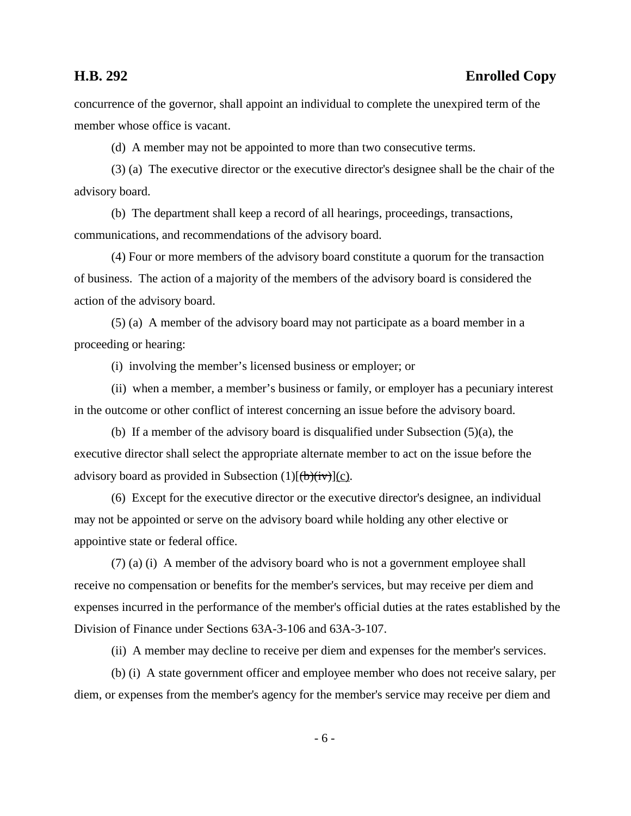concurrence of the governor, shall appoint an individual to complete the unexpired term of the member whose office is vacant.

(d) A member may not be appointed to more than two consecutive terms.

(3) (a) The executive director or the executive director's designee shall be the chair of the advisory board.

(b) The department shall keep a record of all hearings, proceedings, transactions, communications, and recommendations of the advisory board.

(4) Four or more members of the advisory board constitute a quorum for the transaction of business. The action of a majority of the members of the advisory board is considered the action of the advisory board.

(5) (a) A member of the advisory board may not participate as a board member in a proceeding or hearing:

(i) involving the member's licensed business or employer; or

(ii) when a member, a member's business or family, or employer has a pecuniary interest in the outcome or other conflict of interest concerning an issue before the advisory board.

(b) If a member of the advisory board is disqualified under Subsection (5)(a), the executive director shall select the appropriate alternate member to act on the issue before the advisory board as provided in Subsection  $(1)[(b)(iv)](c)$ .

(6) Except for the executive director or the executive director's designee, an individual may not be appointed or serve on the advisory board while holding any other elective or appointive state or federal office.

(7) (a) (i) A member of the advisory board who is not a government employee shall receive no compensation or benefits for the member's services, but may receive per diem and expenses incurred in the performance of the member's official duties at the rates established by the Division of Finance under Sections 63A-3-106 and 63A-3-107.

(ii) A member may decline to receive per diem and expenses for the member's services.

(b) (i) A state government officer and employee member who does not receive salary, per diem, or expenses from the member's agency for the member's service may receive per diem and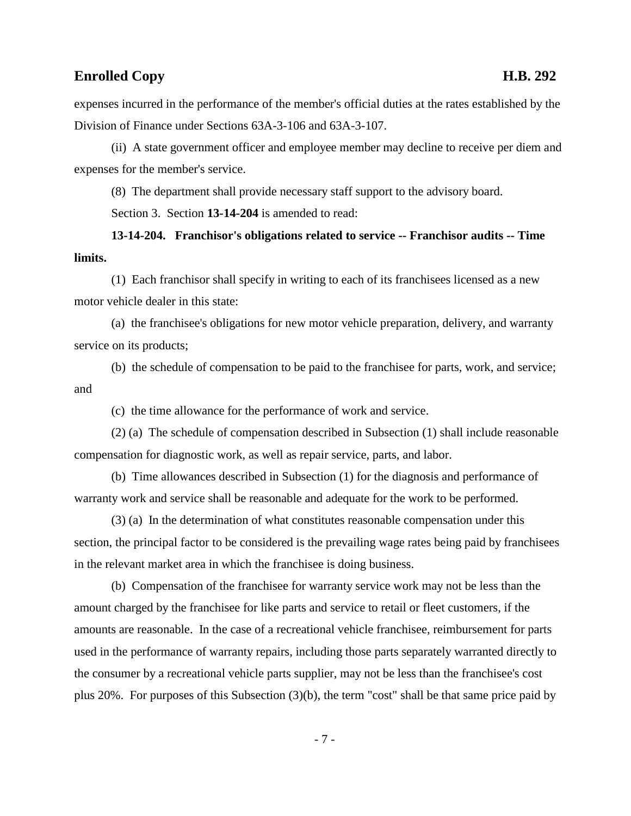expenses incurred in the performance of the member's official duties at the rates established by the Division of Finance under Sections 63A-3-106 and 63A-3-107.

(ii) A state government officer and employee member may decline to receive per diem and expenses for the member's service.

(8) The department shall provide necessary staff support to the advisory board.

Section 3. Section **13-14-204** is amended to read:

**13-14-204. Franchisor's obligations related to service -- Franchisor audits -- Time limits.**

(1) Each franchisor shall specify in writing to each of its franchisees licensed as a new motor vehicle dealer in this state:

(a) the franchisee's obligations for new motor vehicle preparation, delivery, and warranty service on its products;

(b) the schedule of compensation to be paid to the franchisee for parts, work, and service; and

(c) the time allowance for the performance of work and service.

(2) (a) The schedule of compensation described in Subsection (1) shall include reasonable compensation for diagnostic work, as well as repair service, parts, and labor.

(b) Time allowances described in Subsection (1) for the diagnosis and performance of warranty work and service shall be reasonable and adequate for the work to be performed.

(3) (a) In the determination of what constitutes reasonable compensation under this section, the principal factor to be considered is the prevailing wage rates being paid by franchisees in the relevant market area in which the franchisee is doing business.

(b) Compensation of the franchisee for warranty service work may not be less than the amount charged by the franchisee for like parts and service to retail or fleet customers, if the amounts are reasonable. In the case of a recreational vehicle franchisee, reimbursement for parts used in the performance of warranty repairs, including those parts separately warranted directly to the consumer by a recreational vehicle parts supplier, may not be less than the franchisee's cost plus 20%. For purposes of this Subsection (3)(b), the term "cost" shall be that same price paid by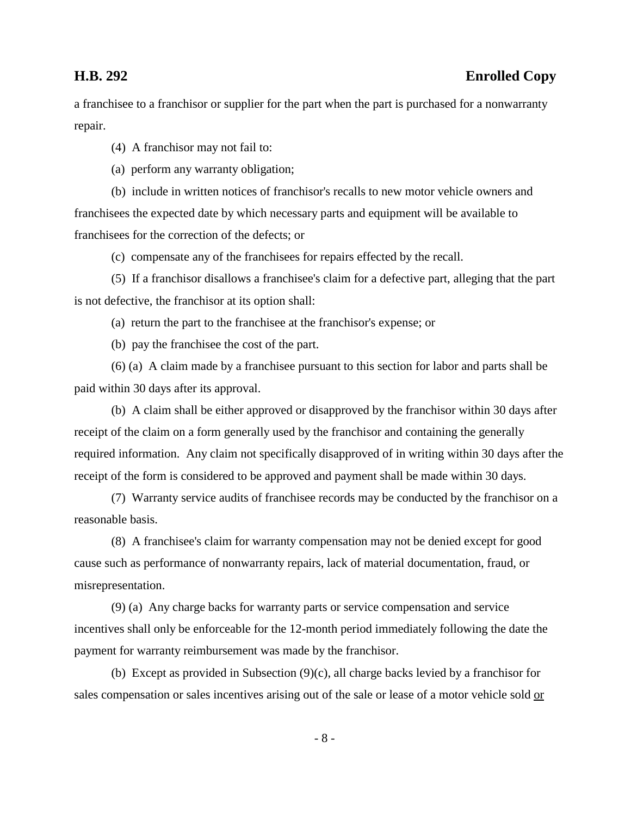a franchisee to a franchisor or supplier for the part when the part is purchased for a nonwarranty repair.

(4) A franchisor may not fail to:

(a) perform any warranty obligation;

(b) include in written notices of franchisor's recalls to new motor vehicle owners and franchisees the expected date by which necessary parts and equipment will be available to franchisees for the correction of the defects; or

(c) compensate any of the franchisees for repairs effected by the recall.

(5) If a franchisor disallows a franchisee's claim for a defective part, alleging that the part is not defective, the franchisor at its option shall:

(a) return the part to the franchisee at the franchisor's expense; or

(b) pay the franchisee the cost of the part.

(6) (a) A claim made by a franchisee pursuant to this section for labor and parts shall be paid within 30 days after its approval.

(b) A claim shall be either approved or disapproved by the franchisor within 30 days after receipt of the claim on a form generally used by the franchisor and containing the generally required information. Any claim not specifically disapproved of in writing within 30 days after the receipt of the form is considered to be approved and payment shall be made within 30 days.

(7) Warranty service audits of franchisee records may be conducted by the franchisor on a reasonable basis.

(8) A franchisee's claim for warranty compensation may not be denied except for good cause such as performance of nonwarranty repairs, lack of material documentation, fraud, or misrepresentation.

(9) (a) Any charge backs for warranty parts or service compensation and service incentives shall only be enforceable for the 12-month period immediately following the date the payment for warranty reimbursement was made by the franchisor.

(b) Except as provided in Subsection (9)(c), all charge backs levied by a franchisor for sales compensation or sales incentives arising out of the sale or lease of a motor vehicle sold or

- 8 -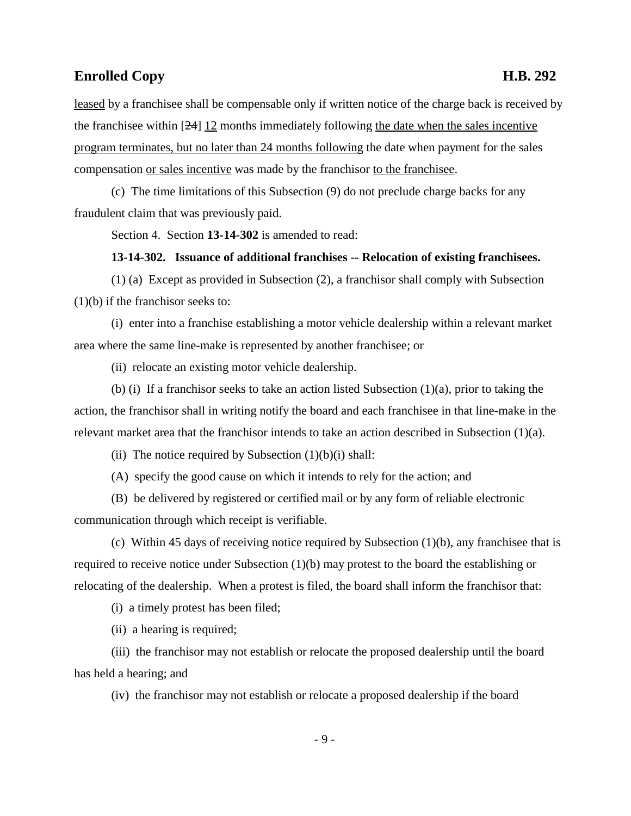leased by a franchisee shall be compensable only if written notice of the charge back is received by the franchisee within [24] 12 months immediately following the date when the sales incentive program terminates, but no later than 24 months following the date when payment for the sales compensation or sales incentive was made by the franchisor to the franchisee.

(c) The time limitations of this Subsection (9) do not preclude charge backs for any fraudulent claim that was previously paid.

Section 4. Section **13-14-302** is amended to read:

### **13-14-302. Issuance of additional franchises -- Relocation of existing franchisees.**

(1) (a) Except as provided in Subsection (2), a franchisor shall comply with Subsection (1)(b) if the franchisor seeks to:

(i) enter into a franchise establishing a motor vehicle dealership within a relevant market area where the same line-make is represented by another franchisee; or

(ii) relocate an existing motor vehicle dealership.

(b) (i) If a franchisor seeks to take an action listed Subsection (1)(a), prior to taking the action, the franchisor shall in writing notify the board and each franchisee in that line-make in the relevant market area that the franchisor intends to take an action described in Subsection  $(1)(a)$ .

(ii) The notice required by Subsection  $(1)(b)(i)$  shall:

(A) specify the good cause on which it intends to rely for the action; and

(B) be delivered by registered or certified mail or by any form of reliable electronic communication through which receipt is verifiable.

(c) Within 45 days of receiving notice required by Subsection (1)(b), any franchisee that is required to receive notice under Subsection (1)(b) may protest to the board the establishing or relocating of the dealership. When a protest is filed, the board shall inform the franchisor that:

(i) a timely protest has been filed;

(ii) a hearing is required;

(iii) the franchisor may not establish or relocate the proposed dealership until the board has held a hearing; and

(iv) the franchisor may not establish or relocate a proposed dealership if the board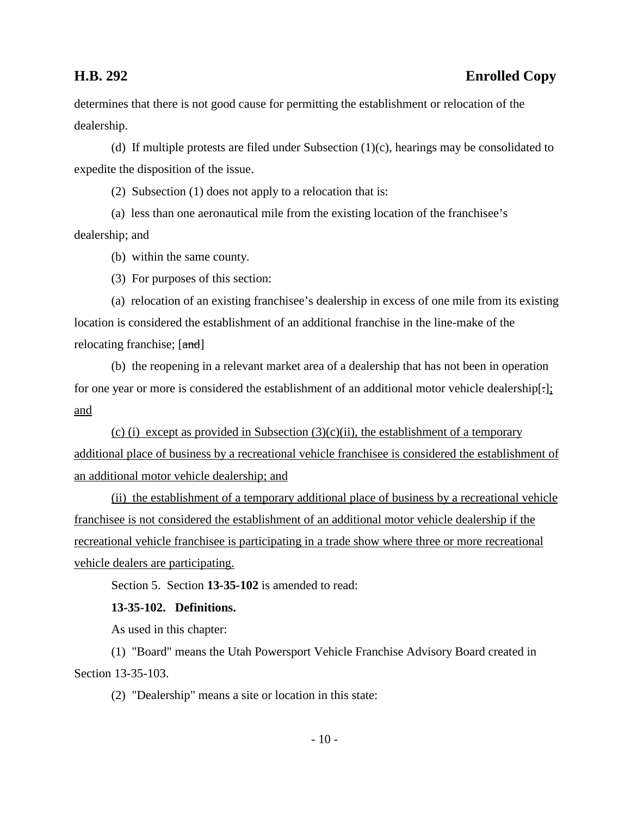determines that there is not good cause for permitting the establishment or relocation of the dealership.

(d) If multiple protests are filed under Subsection  $(1)(c)$ , hearings may be consolidated to expedite the disposition of the issue.

(2) Subsection (1) does not apply to a relocation that is:

(a) less than one aeronautical mile from the existing location of the franchisee's dealership; and

(b) within the same county.

(3) For purposes of this section:

(a) relocation of an existing franchisee's dealership in excess of one mile from its existing location is considered the establishment of an additional franchise in the line-make of the relocating franchise; [and]

(b) the reopening in a relevant market area of a dealership that has not been in operation for one year or more is considered the establishment of an additional motor vehicle dealership[-]; and

(c) (i) except as provided in Subsection  $(3)(c)(ii)$ , the establishment of a temporary additional place of business by a recreational vehicle franchisee is considered the establishment of an additional motor vehicle dealership; and

(ii) the establishment of a temporary additional place of business by a recreational vehicle franchisee is not considered the establishment of an additional motor vehicle dealership if the recreational vehicle franchisee is participating in a trade show where three or more recreational vehicle dealers are participating.

Section 5. Section **13-35-102** is amended to read:

**13-35-102. Definitions.**

As used in this chapter:

(1) "Board" means the Utah Powersport Vehicle Franchise Advisory Board created in Section 13-35-103.

(2) "Dealership" means a site or location in this state: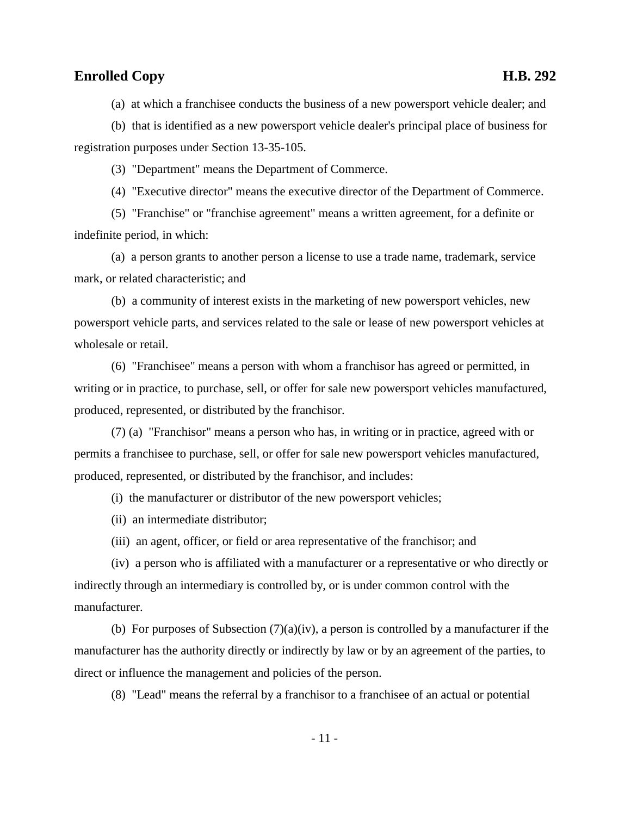(a) at which a franchisee conducts the business of a new powersport vehicle dealer; and

(b) that is identified as a new powersport vehicle dealer's principal place of business for registration purposes under Section 13-35-105.

(3) "Department" means the Department of Commerce.

(4) "Executive director" means the executive director of the Department of Commerce.

(5) "Franchise" or "franchise agreement" means a written agreement, for a definite or indefinite period, in which:

(a) a person grants to another person a license to use a trade name, trademark, service mark, or related characteristic; and

(b) a community of interest exists in the marketing of new powersport vehicles, new powersport vehicle parts, and services related to the sale or lease of new powersport vehicles at wholesale or retail.

(6) "Franchisee" means a person with whom a franchisor has agreed or permitted, in writing or in practice, to purchase, sell, or offer for sale new powersport vehicles manufactured, produced, represented, or distributed by the franchisor.

(7) (a) "Franchisor" means a person who has, in writing or in practice, agreed with or permits a franchisee to purchase, sell, or offer for sale new powersport vehicles manufactured, produced, represented, or distributed by the franchisor, and includes:

(i) the manufacturer or distributor of the new powersport vehicles;

(ii) an intermediate distributor;

(iii) an agent, officer, or field or area representative of the franchisor; and

(iv) a person who is affiliated with a manufacturer or a representative or who directly or indirectly through an intermediary is controlled by, or is under common control with the manufacturer.

(b) For purposes of Subsection  $(7)(a)(iv)$ , a person is controlled by a manufacturer if the manufacturer has the authority directly or indirectly by law or by an agreement of the parties, to direct or influence the management and policies of the person.

(8) "Lead" means the referral by a franchisor to a franchisee of an actual or potential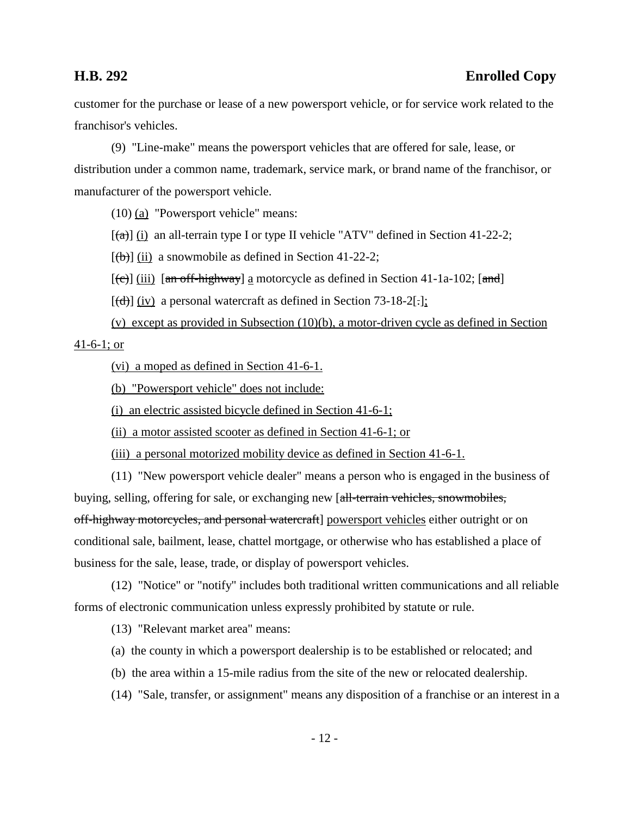customer for the purchase or lease of a new powersport vehicle, or for service work related to the franchisor's vehicles.

(9) "Line-make" means the powersport vehicles that are offered for sale, lease, or distribution under a common name, trademark, service mark, or brand name of the franchisor, or manufacturer of the powersport vehicle.

(10) (a) "Powersport vehicle" means:

 $[(a)]$  (i) an all-terrain type I or type II vehicle "ATV" defined in Section 41-22-2;

 $[\frac{1}{b}]$  (ii) a snowmobile as defined in Section 41-22-2;

 $[\text{e}^{-}]$  (iii) [an off-highway] a motorcycle as defined in Section 41-1a-102; [and]

 $[\overline{(d)}]$  (iv) a personal watercraft as defined in Section 73-18-2[.];

(v) except as provided in Subsection (10)(b), a motor-driven cycle as defined in Section 41-6-1; or

(vi) a moped as defined in Section 41-6-1.

(b) "Powersport vehicle" does not include:

(i) an electric assisted bicycle defined in Section 41-6-1;

(ii) a motor assisted scooter as defined in Section 41-6-1; or

(iii) a personal motorized mobility device as defined in Section 41-6-1.

(11) "New powersport vehicle dealer" means a person who is engaged in the business of buying, selling, offering for sale, or exchanging new [all-terrain vehicles, snowmobiles, off-highway motorcycles, and personal watercraft] powersport vehicles either outright or on conditional sale, bailment, lease, chattel mortgage, or otherwise who has established a place of business for the sale, lease, trade, or display of powersport vehicles.

(12) "Notice" or "notify" includes both traditional written communications and all reliable forms of electronic communication unless expressly prohibited by statute or rule.

(13) "Relevant market area" means:

- (a) the county in which a powersport dealership is to be established or relocated; and
- (b) the area within a 15-mile radius from the site of the new or relocated dealership.
- (14) "Sale, transfer, or assignment" means any disposition of a franchise or an interest in a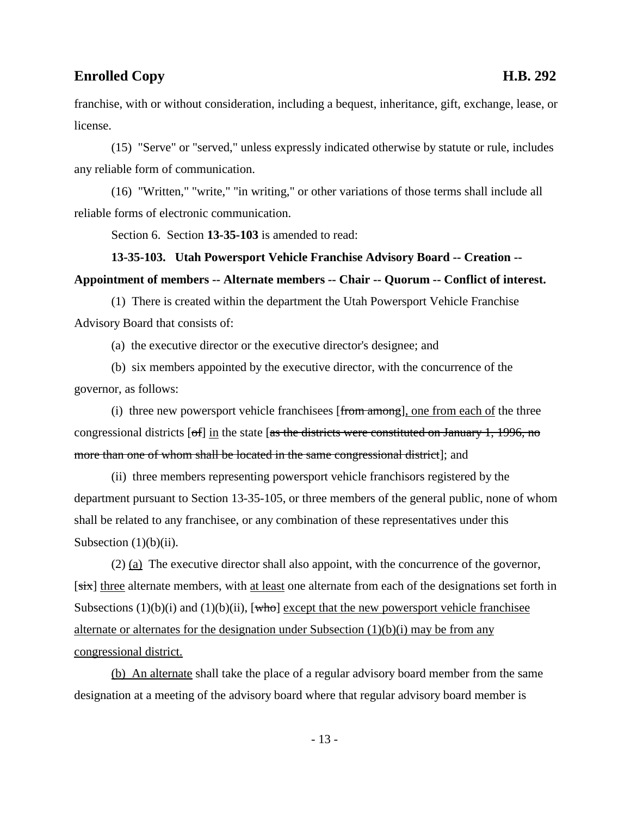franchise, with or without consideration, including a bequest, inheritance, gift, exchange, lease, or license.

(15) "Serve" or "served," unless expressly indicated otherwise by statute or rule, includes any reliable form of communication.

(16) "Written," "write," "in writing," or other variations of those terms shall include all reliable forms of electronic communication.

Section 6. Section **13-35-103** is amended to read:

# **13-35-103. Utah Powersport Vehicle Franchise Advisory Board -- Creation -- Appointment of members -- Alternate members -- Chair -- Quorum -- Conflict of interest.**

(1) There is created within the department the Utah Powersport Vehicle Franchise Advisory Board that consists of:

(a) the executive director or the executive director's designee; and

(b) six members appointed by the executive director, with the concurrence of the governor, as follows:

(i) three new powersport vehicle franchisees [from among], one from each of the three congressional districts  $\lceil \text{of} \rceil$  in the state  $\lceil \text{as the districts were constituted on January 1, 1996, no} \rceil$ more than one of whom shall be located in the same congressional district]; and

(ii) three members representing powersport vehicle franchisors registered by the department pursuant to Section 13-35-105, or three members of the general public, none of whom shall be related to any franchisee, or any combination of these representatives under this Subsection  $(1)(b)(ii)$ .

(2) (a) The executive director shall also appoint, with the concurrence of the governor, [six] three alternate members, with at least one alternate from each of the designations set forth in Subsections  $(1)(b)(i)$  and  $(1)(b)(ii)$ , [who] except that the new powersport vehicle franchisee alternate or alternates for the designation under Subsection (1)(b)(i) may be from any congressional district.

(b) An alternate shall take the place of a regular advisory board member from the same designation at a meeting of the advisory board where that regular advisory board member is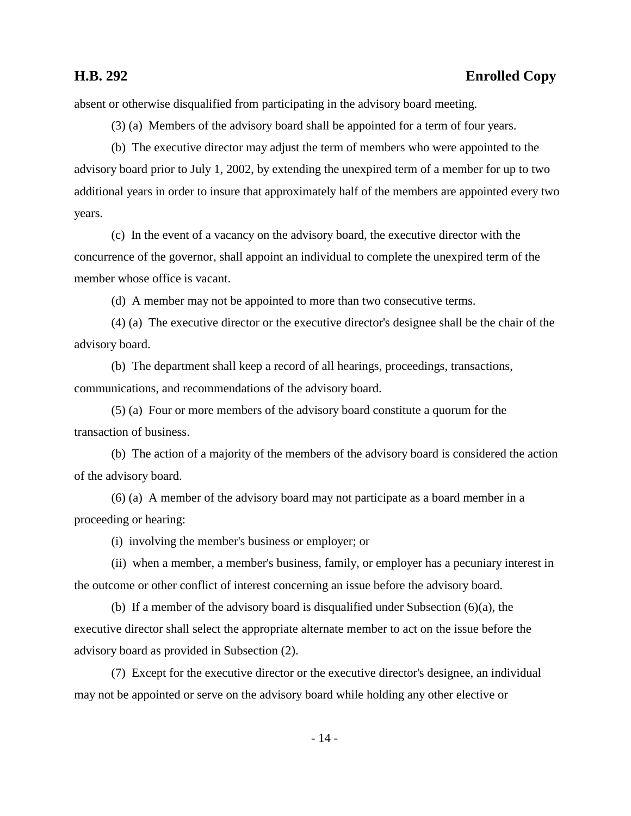## **H.B. 292 Enrolled Copy**

absent or otherwise disqualified from participating in the advisory board meeting.

(3) (a) Members of the advisory board shall be appointed for a term of four years.

(b) The executive director may adjust the term of members who were appointed to the advisory board prior to July 1, 2002, by extending the unexpired term of a member for up to two additional years in order to insure that approximately half of the members are appointed every two years.

(c) In the event of a vacancy on the advisory board, the executive director with the concurrence of the governor, shall appoint an individual to complete the unexpired term of the member whose office is vacant.

(d) A member may not be appointed to more than two consecutive terms.

(4) (a) The executive director or the executive director's designee shall be the chair of the advisory board.

(b) The department shall keep a record of all hearings, proceedings, transactions, communications, and recommendations of the advisory board.

(5) (a) Four or more members of the advisory board constitute a quorum for the transaction of business.

(b) The action of a majority of the members of the advisory board is considered the action of the advisory board.

(6) (a) A member of the advisory board may not participate as a board member in a proceeding or hearing:

(i) involving the member's business or employer; or

(ii) when a member, a member's business, family, or employer has a pecuniary interest in the outcome or other conflict of interest concerning an issue before the advisory board.

(b) If a member of the advisory board is disqualified under Subsection (6)(a), the executive director shall select the appropriate alternate member to act on the issue before the advisory board as provided in Subsection (2).

(7) Except for the executive director or the executive director's designee, an individual may not be appointed or serve on the advisory board while holding any other elective or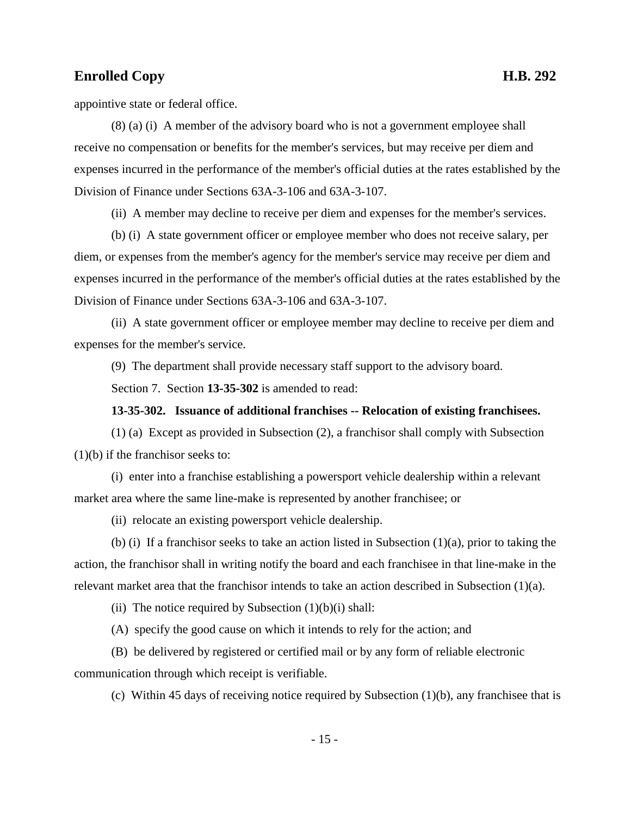appointive state or federal office.

(8) (a) (i) A member of the advisory board who is not a government employee shall receive no compensation or benefits for the member's services, but may receive per diem and expenses incurred in the performance of the member's official duties at the rates established by the Division of Finance under Sections 63A-3-106 and 63A-3-107.

(ii) A member may decline to receive per diem and expenses for the member's services.

(b) (i) A state government officer or employee member who does not receive salary, per diem, or expenses from the member's agency for the member's service may receive per diem and expenses incurred in the performance of the member's official duties at the rates established by the Division of Finance under Sections 63A-3-106 and 63A-3-107.

(ii) A state government officer or employee member may decline to receive per diem and expenses for the member's service.

(9) The department shall provide necessary staff support to the advisory board.

Section 7. Section **13-35-302** is amended to read:

### **13-35-302. Issuance of additional franchises -- Relocation of existing franchisees.**

(1) (a) Except as provided in Subsection (2), a franchisor shall comply with Subsection (1)(b) if the franchisor seeks to:

(i) enter into a franchise establishing a powersport vehicle dealership within a relevant market area where the same line-make is represented by another franchisee; or

(ii) relocate an existing powersport vehicle dealership.

(b) (i) If a franchisor seeks to take an action listed in Subsection (1)(a), prior to taking the action, the franchisor shall in writing notify the board and each franchisee in that line-make in the relevant market area that the franchisor intends to take an action described in Subsection  $(1)(a)$ .

(ii) The notice required by Subsection  $(1)(b)(i)$  shall:

(A) specify the good cause on which it intends to rely for the action; and

(B) be delivered by registered or certified mail or by any form of reliable electronic communication through which receipt is verifiable.

(c) Within 45 days of receiving notice required by Subsection (1)(b), any franchisee that is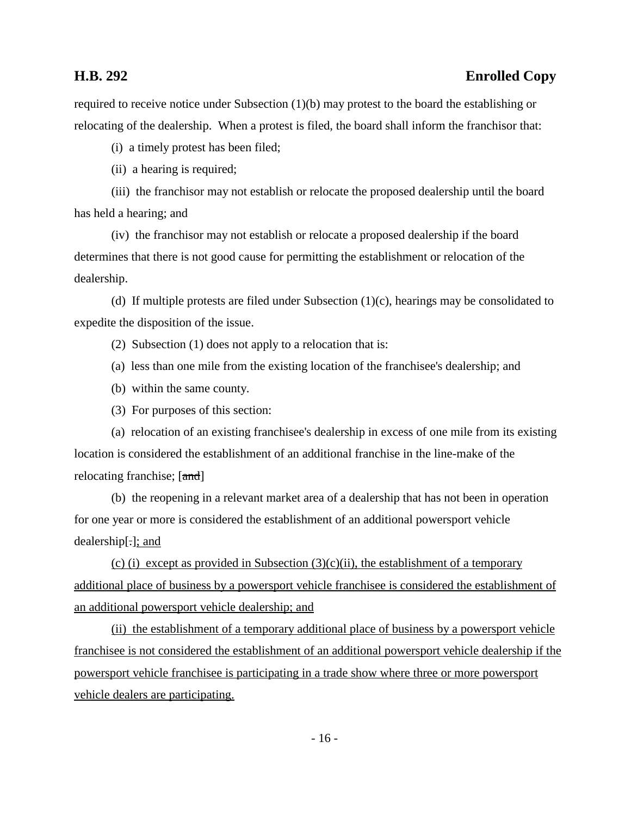## **H.B. 292 Enrolled Copy**

required to receive notice under Subsection (1)(b) may protest to the board the establishing or relocating of the dealership. When a protest is filed, the board shall inform the franchisor that:

(i) a timely protest has been filed;

(ii) a hearing is required;

(iii) the franchisor may not establish or relocate the proposed dealership until the board has held a hearing; and

(iv) the franchisor may not establish or relocate a proposed dealership if the board determines that there is not good cause for permitting the establishment or relocation of the dealership.

(d) If multiple protests are filed under Subsection (1)(c), hearings may be consolidated to expedite the disposition of the issue.

(2) Subsection (1) does not apply to a relocation that is:

(a) less than one mile from the existing location of the franchisee's dealership; and

(b) within the same county.

(3) For purposes of this section:

(a) relocation of an existing franchisee's dealership in excess of one mile from its existing location is considered the establishment of an additional franchise in the line-make of the relocating franchise; [and]

(b) the reopening in a relevant market area of a dealership that has not been in operation for one year or more is considered the establishment of an additional powersport vehicle dealership[.]; and

(c) (i) except as provided in Subsection  $(3)(c)(ii)$ , the establishment of a temporary additional place of business by a powersport vehicle franchisee is considered the establishment of an additional powersport vehicle dealership; and

(ii) the establishment of a temporary additional place of business by a powersport vehicle franchisee is not considered the establishment of an additional powersport vehicle dealership if the powersport vehicle franchisee is participating in a trade show where three or more powersport vehicle dealers are participating.